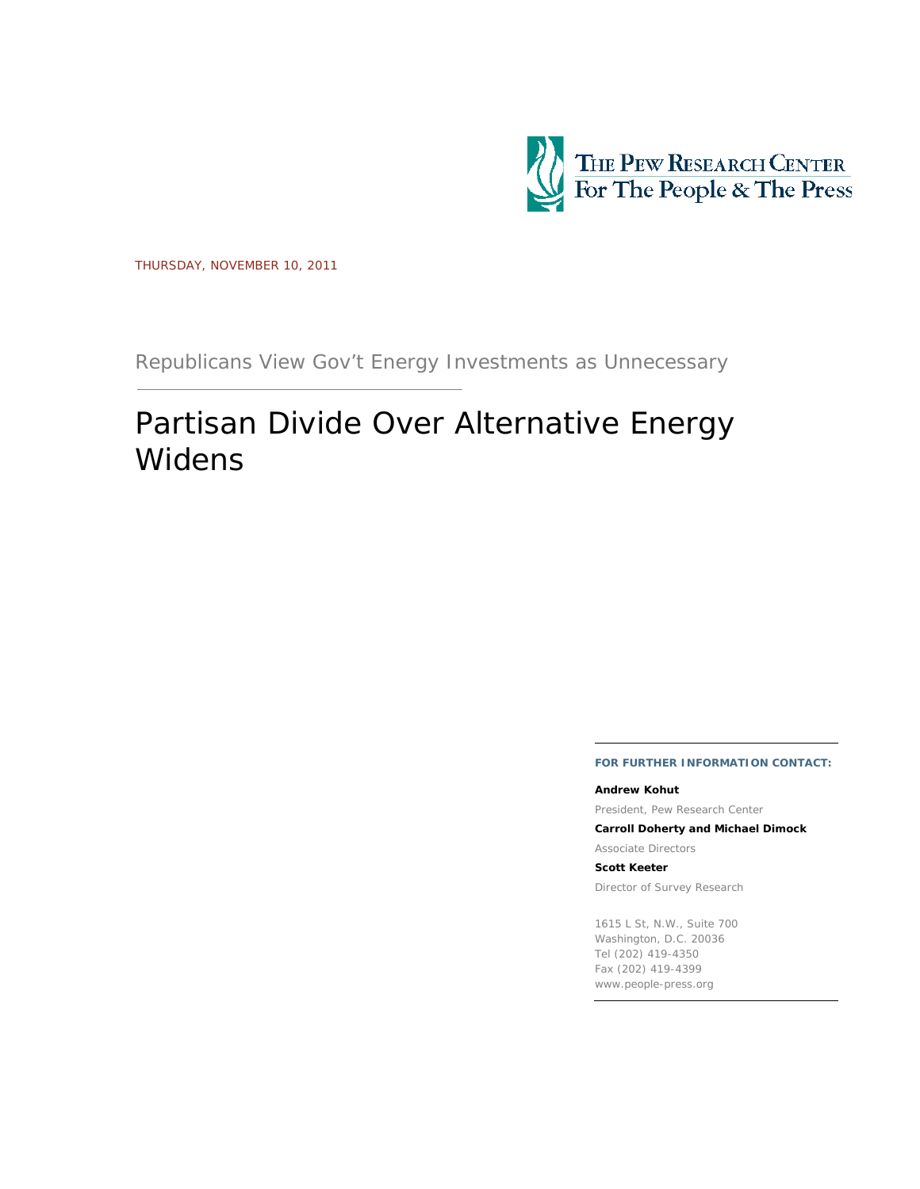

THURSDAY, NOVEMBER 10, 2011

Republicans View Gov't Energy Investments as Unnecessary

# Partisan Divide Over Alternative Energy Widens

### **FOR FURTHER INFORMATION CONTACT:**

#### **Andrew Kohut**

President, Pew Research Center

**Carroll Doherty and Michael Dimock** 

Associate Directors

#### **Scott Keeter**

Director of Survey Research

1615 L St, N.W., Suite 700 Washington, D.C. 20036 Tel (202) 419-4350 Fax (202) 419-4399 www.people-press.org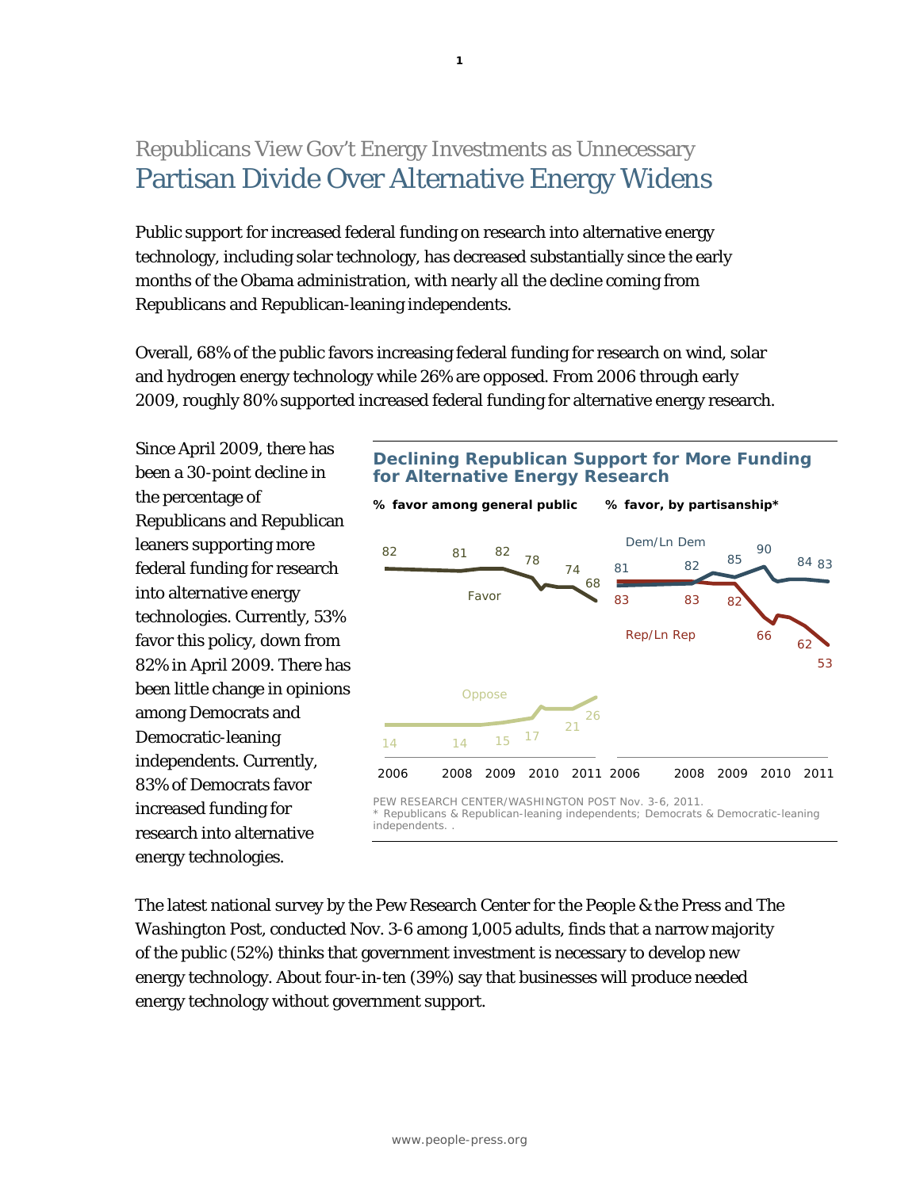## Republicans View Gov't Energy Investments as Unnecessary Partisan Divide Over Alternative Energy Widens

Public support for increased federal funding on research into alternative energy technology, including solar technology, has decreased substantially since the early months of the Obama administration, with nearly all the decline coming from Republicans and Republican-leaning independents.

Overall, 68% of the public favors increasing federal funding for research on wind, solar and hydrogen energy technology while 26% are opposed. From 2006 through early 2009, roughly 80% supported increased federal funding for alternative energy research.

Since April 2009, there has been a 30-point decline in the percentage of Republicans and Republican leaners supporting more federal funding for research into alternative energy technologies. Currently, 53% favor this policy, down from 82% in April 2009. There has been little change in opinions among Democrats and Democratic-leaning independents. Currently, 83% of Democrats favor increased funding for research into alternative energy technologies.

### **Declining Republican Support for More Funding for Alternative Energy Research**



The latest national survey by the Pew Research Center for the People & the Press and *The Washington Post,* conducted Nov. 3-6 among 1,005 adults, finds that a narrow majority of the public (52%) thinks that government investment is necessary to develop new energy technology. About four-in-ten (39%) say that businesses will produce needed energy technology without government support.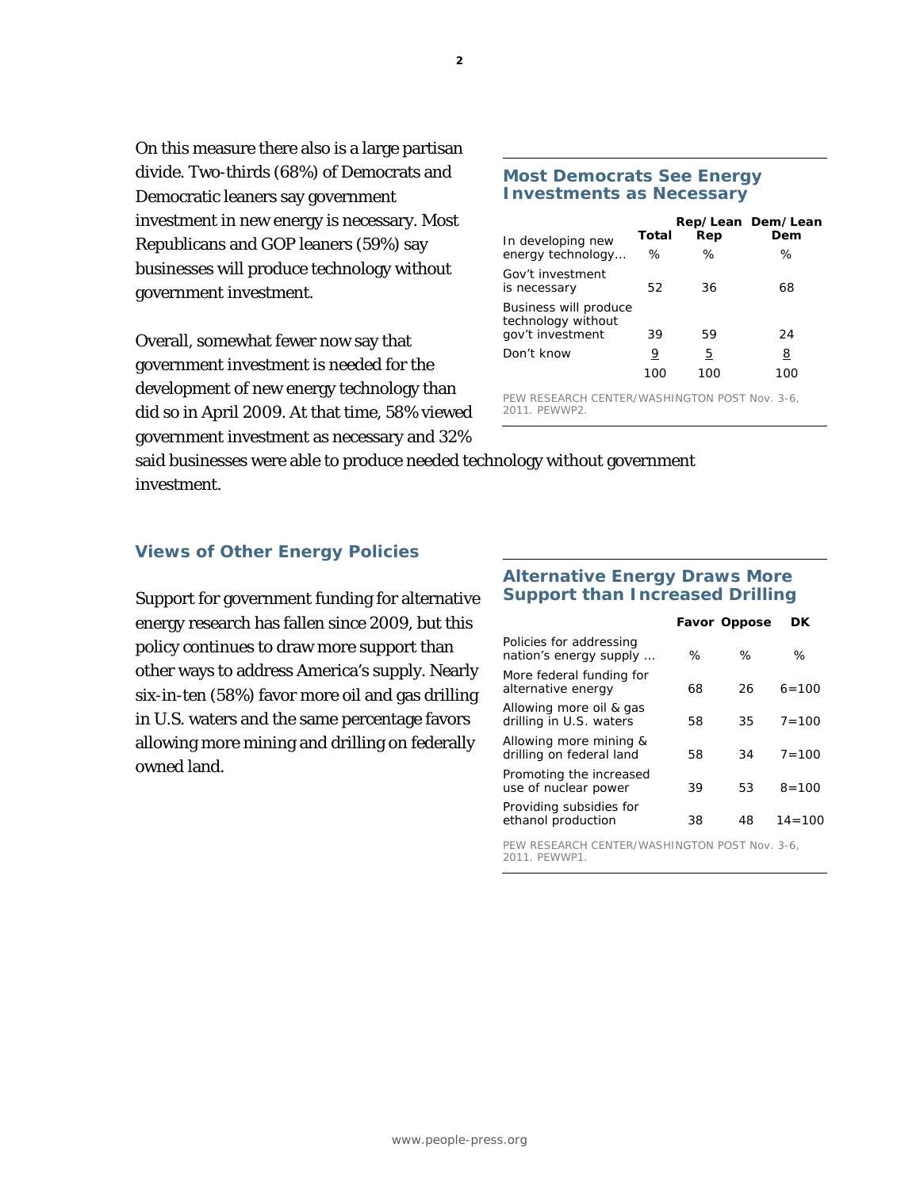On this measure there also is a large partisan divide. Two-thirds (68%) of Democrats and Democratic leaners say government investment in new energy is necessary. Most Republicans and GOP leaners (59%) say businesses will produce technology without government investment.

Overall, somewhat fewer now say that government investment is needed for the development of new energy technology than did so in April 2009. At that time, 58% viewed government investment as necessary and 32%

### **Most Democrats See Energy Investments as Necessary**

| In developing new                                               | Total | Rep | Rep/Lean Dem/Lean<br>Dem |
|-----------------------------------------------------------------|-------|-----|--------------------------|
| energy technology                                               | ℅     | ℅   | ℅                        |
| Gov't investment<br>is necessary                                | 52    | 36  | 68                       |
| Business will produce<br>technology without<br>gov't investment | 39    | 59  | 24                       |
| Don't know                                                      | 9     | 5   | 8                        |
|                                                                 |       | 100 |                          |

PEW RESEARCH CENTER/WASHINGTON POST Nov. 3-6, 2011. PEWWP2.

said businesses were able to produce needed technology without government investment.

### **Views of Other Energy Policies**

Support for government funding for alternative energy research has fallen since 2009, but this policy continues to draw more support than other ways to address America's supply. Nearly six-in-ten (58%) favor more oil and gas drilling in U.S. waters and the same percentage favors allowing more mining and drilling on federally owned land.

### **Alternative Energy Draws More Support than Increased Drilling**

|                                                    |      | <b>Favor Oppose</b> | DK         |
|----------------------------------------------------|------|---------------------|------------|
| Policies for addressing<br>nation's energy supply  | $\%$ | ℅                   | ℅          |
| More federal funding for<br>alternative energy     | 68   | 26                  | $6 = 100$  |
| Allowing more oil & gas<br>drilling in U.S. waters | 58   | 35                  | $7 = 100$  |
| Allowing more mining &<br>drilling on federal land | 58   | 34                  | $7 = 100$  |
| Promoting the increased<br>use of nuclear power    | 39   | 53                  | $8 = 100$  |
| Providing subsidies for<br>ethanol production      | 38   | 48                  | $14 = 100$ |
|                                                    |      |                     |            |

PEW RESEARCH CENTER/WASHINGTON POST Nov. 3-6, 2011. PEWWP1.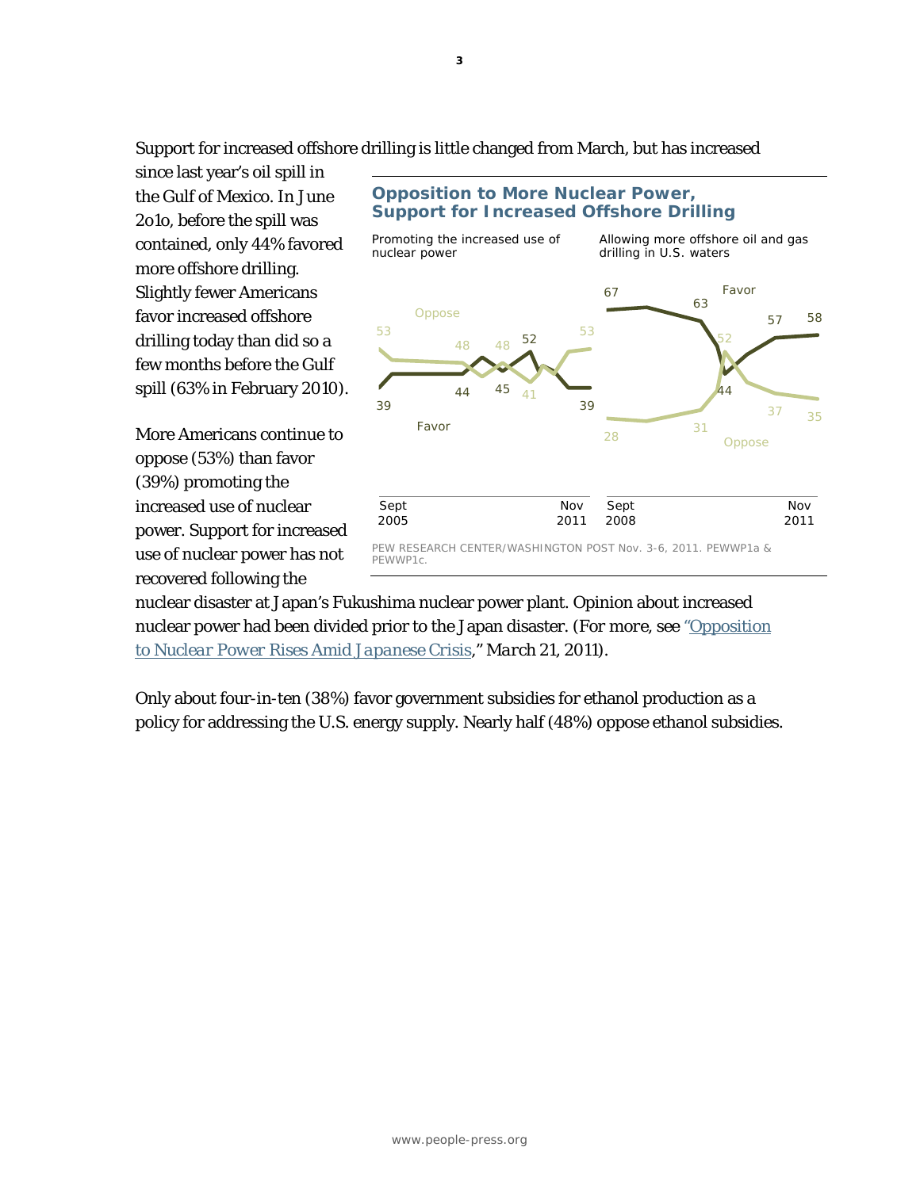Support for increased offshore drilling is little changed from March, but has increased

since last year's oil spill in the Gulf of Mexico. In June 2o1o, before the spill was contained, only 44% favored more offshore drilling. Slightly fewer Americans favor increased offshore drilling today than did so a few months before the Gulf spill (63% in February 2010).

More Americans continue to oppose (53%) than favor (39%) promoting the increased use of nuclear power. Support for increased use of nuclear power has not recovered following the

#### 39 44 45 52 39 53 48 48 41 53 Sept 2005 Favor Oppose Nov 2011 67 63 44 57 58 <sup>28</sup> <sup>31</sup> 52 <sup>37</sup> <sup>35</sup> Sept 2008 Favor Oppose Nov 2011 **Opposition to More Nuclear Power, Support for Increased Offshore Drilling**  *Promoting the increased use of nuclear power Allowing more offshore oil and gas drilling in U.S. waters*  PEW RESEARCH CENTER/WASHINGTON POST Nov. 3-6, 2011. PEWWP1a & PEWWP1c.

nuclear disaster at Japan's Fukushima nuclear power plant. Opinion about increased nuclear power had been divided prior to the Japan disaster. *(For more, see "Opposition [to Nuclear Power Rises Amid Japanese Crisis," March 21, 2011\).](http://www.people-press.org/2011/03/21/opposition-to-nuclear-power-rises-amid-japanese-crisis/)* 

Only about four-in-ten (38%) favor government subsidies for ethanol production as a policy for addressing the U.S. energy supply. Nearly half (48%) oppose ethanol subsidies.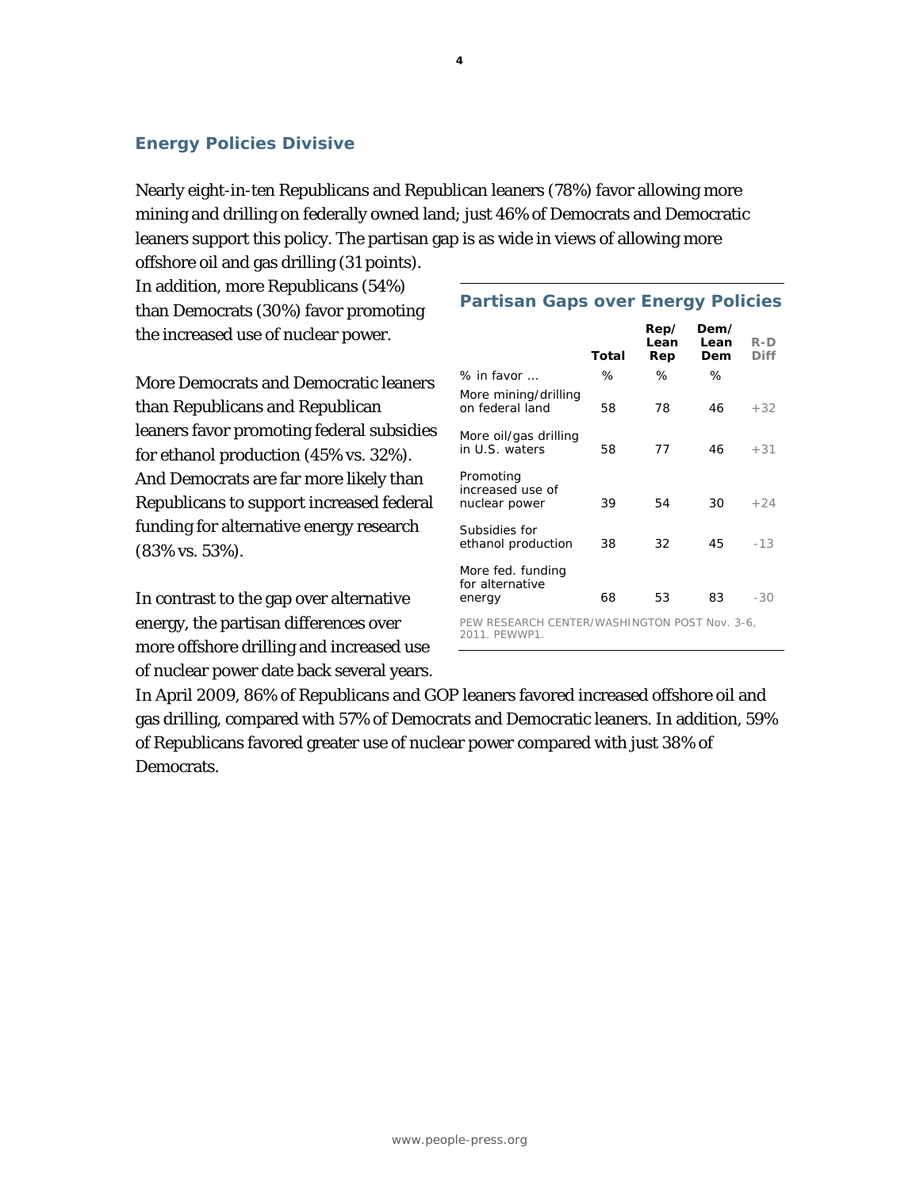## **Energy Policies Divisive**

Nearly eight-in-ten Republicans and Republican leaners (78%) favor allowing more mining and drilling on federally owned land; just 46% of Democrats and Democratic leaners support this policy. The partisan gap is as wide in views of allowing more

offshore oil and gas drilling (31 points). In addition, more Republicans (54%) than Democrats (30%) favor promoting the increased use of nuclear power.

More Democrats and Democratic leaners than Republicans and Republican leaners favor promoting federal subsidies for ethanol production (45% vs. 32%). And Democrats are far more likely than Republicans to support increased federal funding for alternative energy research (83% vs. 53%).

In contrast to the gap over alternative energy, the partisan differences over more offshore drilling and increased use of nuclear power date back several years.

## **Partisan Gaps over Energy Policies**

|                                                                | Total | Rep/<br>Lean<br>Rep | Dem/<br>Lean<br>Dem | R-D<br>Diff |
|----------------------------------------------------------------|-------|---------------------|---------------------|-------------|
| $%$ in favor $\ldots$                                          | ℅     | ℅                   | ℅                   |             |
| More mining/drilling<br>on federal land                        | 58    | 78                  | 46                  | $+32$       |
| More oil/gas drilling<br>in U.S. waters                        | 58    | 77                  | 46                  | $+31$       |
| Promoting<br>increased use of<br>nuclear power                 | 39    | 54                  | 30                  | $+24$       |
| Subsidies for<br>ethanol production                            | 38    | 32                  | 45                  | $-13$       |
| More fed. funding<br>for alternative<br>energy                 | 68    | 53                  | 83                  | -30         |
| PEW RESEARCH CENTER/WASHINGTON POST Nov. 3-6,<br>2011. PEWWP1. |       |                     |                     |             |

In April 2009, 86% of Republicans and GOP leaners favored increased offshore oil and gas drilling, compared with 57% of Democrats and Democratic leaners. In addition, 59% of Republicans favored greater use of nuclear power compared with just 38% of Democrats.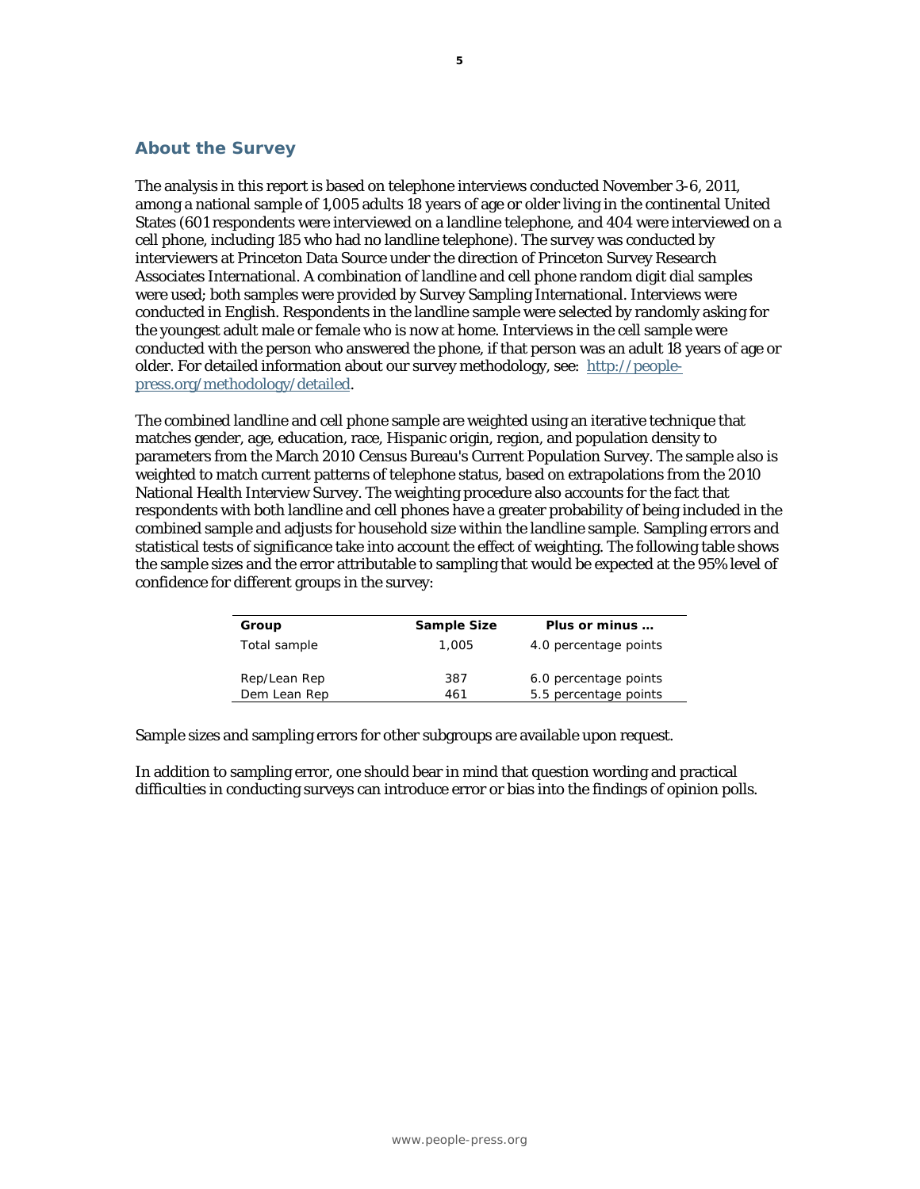### **About the Survey**

The analysis in this report is based on telephone interviews conducted November 3-6, 2011, among a national sample of 1,005 adults 18 years of age or older living in the continental United States (601 respondents were interviewed on a landline telephone, and 404 were interviewed on a cell phone, including 185 who had no landline telephone). The survey was conducted by interviewers at Princeton Data Source under the direction of Princeton Survey Research Associates International. A combination of landline and cell phone random digit dial samples were used; both samples were provided by Survey Sampling International. Interviews were conducted in English. Respondents in the landline sample were selected by randomly asking for the youngest adult male or female who is now at home. Interviews in the cell sample were conducted with the person who answered the phone, if that person was an adult 18 years of age or older. For detailed information about our survey methodology, see: http://peoplepress.org/methodology/detailed.

The combined landline and cell phone sample are weighted using an iterative technique that matches gender, age, education, race, Hispanic origin, region, and population density to parameters from the March 2010 Census Bureau's Current Population Survey. The sample also is weighted to match current patterns of telephone status, based on extrapolations from the 2010 National Health Interview Survey. The weighting procedure also accounts for the fact that respondents with both landline and cell phones have a greater probability of being included in the combined sample and adjusts for household size within the landline sample. Sampling errors and statistical tests of significance take into account the effect of weighting. The following table shows the sample sizes and the error attributable to sampling that would be expected at the 95% level of confidence for different groups in the survey:

| Group        | Sample Size | Plus or minus         |
|--------------|-------------|-----------------------|
| Total sample | 1,005       | 4.0 percentage points |
| Rep/Lean Rep | 387         | 6.0 percentage points |
| Dem Lean Rep | 461         | 5.5 percentage points |

Sample sizes and sampling errors for other subgroups are available upon request.

In addition to sampling error, one should bear in mind that question wording and practical difficulties in conducting surveys can introduce error or bias into the findings of opinion polls.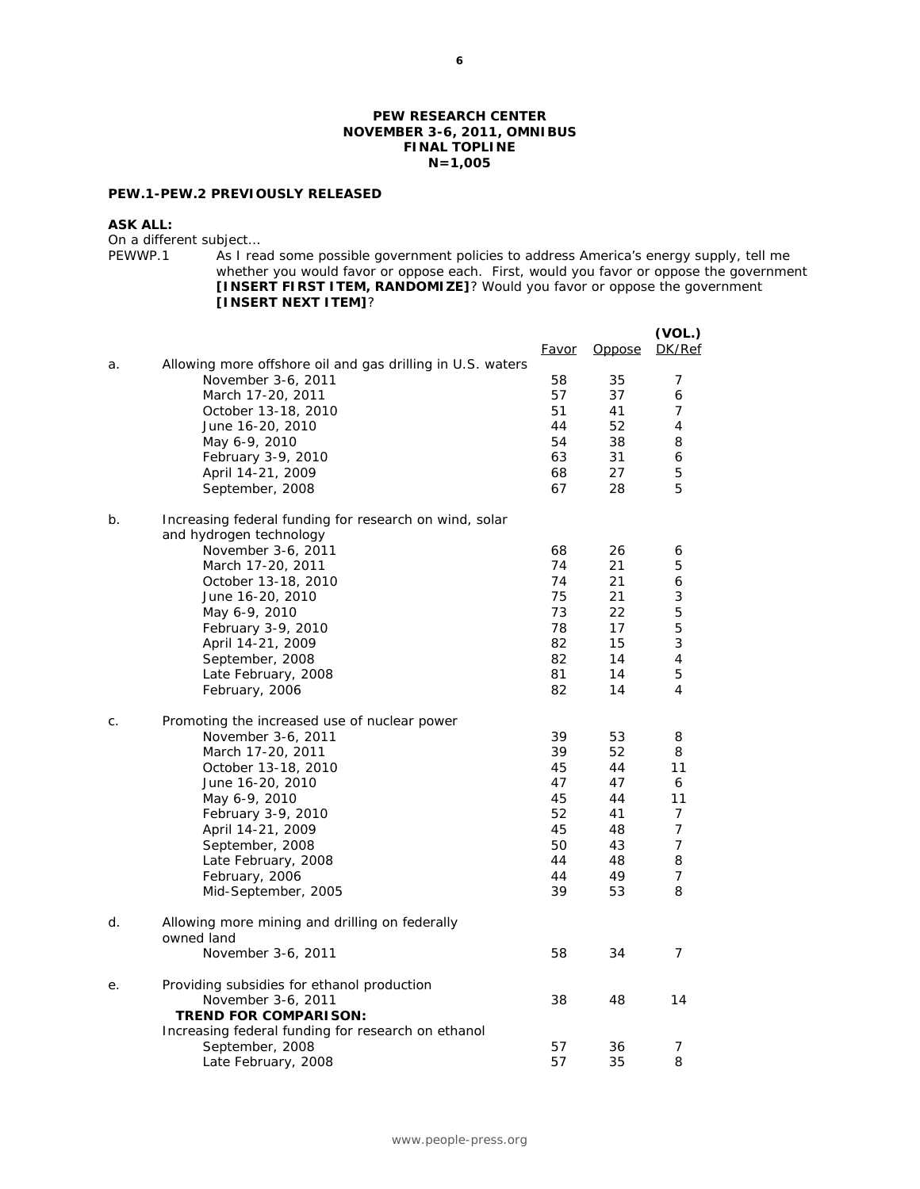### **PEW RESEARCH CENTER NOVEMBER 3-6, 2011, OMNIBUS FINAL TOPLINE N=1,005**

### **PEW.1-PEW.2 PREVIOUSLY RELEASED**

#### **ASK ALL:**

On a different subject...<br>PEWWP.1 As I real

As I read some possible government policies to address America's energy supply, tell me whether you would favor or oppose each. First, would you favor or oppose the government **[INSERT FIRST ITEM, RANDOMIZE]**? Would you favor or oppose the government **[INSERT NEXT ITEM]**?

|    |                                                                                   | <u>Favor</u> | <b>Oppose</b> | (VOL.)<br>DK/Ref |
|----|-----------------------------------------------------------------------------------|--------------|---------------|------------------|
| a. | Allowing more offshore oil and gas drilling in U.S. waters                        |              |               |                  |
|    | November 3-6, 2011                                                                | 58           | 35            | 7                |
|    | March 17-20, 2011                                                                 | 57           | 37            | 6                |
|    | October 13-18, 2010                                                               | 51           | 41            | 7                |
|    | June 16-20, 2010                                                                  | 44           | 52            | 4                |
|    | May 6-9, 2010                                                                     | 54           | 38            | 8                |
|    | February 3-9, 2010                                                                | 63           | 31            | 6                |
|    | April 14-21, 2009                                                                 | 68           | 27            | 5                |
|    | September, 2008                                                                   | 67           | 28            | 5                |
| b. | Increasing federal funding for research on wind, solar<br>and hydrogen technology |              |               |                  |
|    | November 3-6, 2011                                                                | 68           | 26            | 6                |
|    | March 17-20, 2011                                                                 | 74           | 21            | 5                |
|    | October 13-18, 2010                                                               | 74           | 21            | 6                |
|    | June 16-20, 2010                                                                  | 75           | 21            | 3                |
|    | May 6-9, 2010                                                                     | 73           | 22            | 5                |
|    | February 3-9, 2010                                                                | 78           | 17            | 5                |
|    | April 14-21, 2009                                                                 | 82           | 15            | 3                |
|    | September, 2008                                                                   | 82           | 14            | 4<br>5           |
|    | Late February, 2008<br>February, 2006                                             | 81<br>82     | 14<br>14      | 4                |
| С. | Promoting the increased use of nuclear power                                      |              |               |                  |
|    | November 3-6, 2011                                                                | 39           | 53            | 8                |
|    | March 17-20, 2011                                                                 | 39           | 52            | 8                |
|    | October 13-18, 2010                                                               | 45           | 44            | 11               |
|    | June 16-20, 2010                                                                  | 47           | 47            | 6                |
|    | May 6-9, 2010                                                                     | 45           | 44            | 11               |
|    | February 3-9, 2010                                                                | 52           | 41            | 7                |
|    | April 14-21, 2009                                                                 | 45           | 48            | 7                |
|    | September, 2008                                                                   | 50           | 43            | 7                |
|    | Late February, 2008                                                               | 44           | 48            | 8                |
|    | February, 2006<br>Mid-September, 2005                                             | 44<br>39     | 49<br>53      | 7<br>8           |
|    |                                                                                   |              |               |                  |
| d. | Allowing more mining and drilling on federally<br>owned land                      |              |               |                  |
|    | November 3-6, 2011                                                                | 58           | 34            | $\overline{7}$   |
| е. | Providing subsidies for ethanol production                                        |              |               |                  |
|    | November 3-6, 2011                                                                | 38           | 48            | 14               |
|    | <b>TREND FOR COMPARISON:</b>                                                      |              |               |                  |
|    | Increasing federal funding for research on ethanol                                |              |               |                  |
|    | September, 2008                                                                   | 57           | 36            | 7                |
|    | Late February, 2008                                                               | 57           | 35            | 8                |